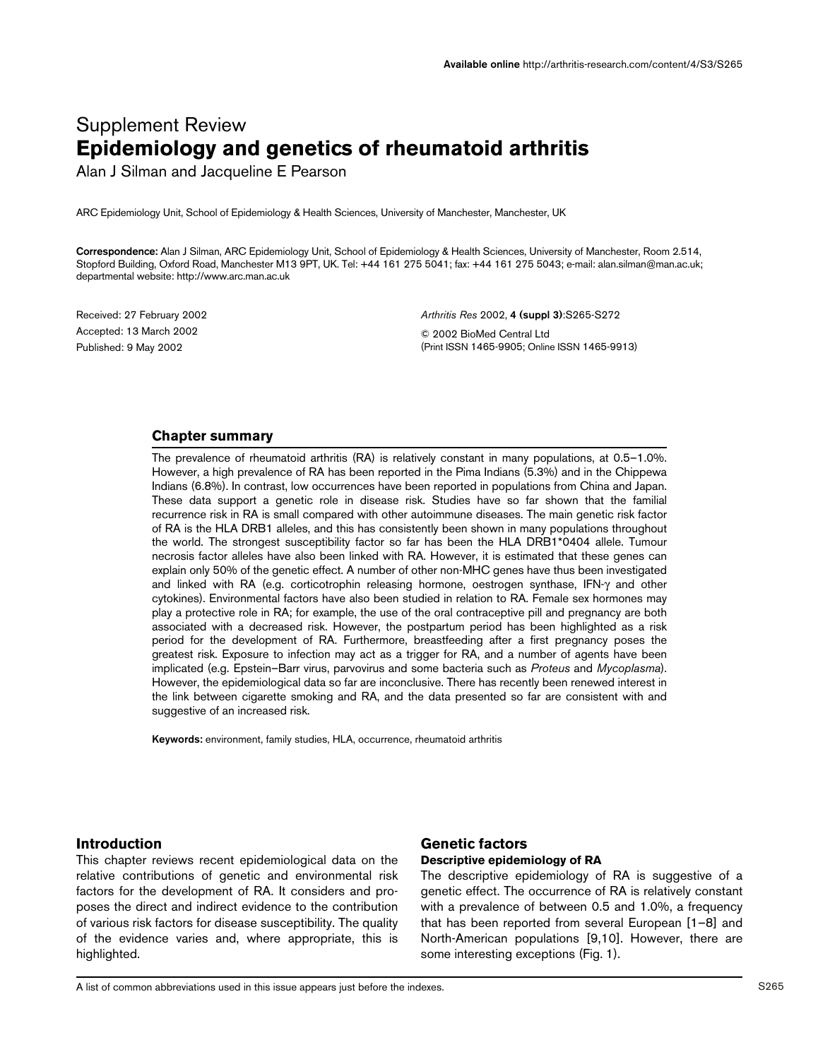# Supplement Review **Epidemiology and genetics of rheumatoid arthritis**

Alan J Silman and Jacqueline E Pearson

ARC Epidemiology Unit, School of Epidemiology & Health Sciences, University of Manchester, Manchester, UK

**Correspondence:** Alan J Silman, ARC Epidemiology Unit, School of Epidemiology & Health Sciences, University of Manchester, Room 2.514, Stopford Building, Oxford Road, Manchester M13 9PT, UK. Tel: +44 161 275 5041; fax: +44 161 275 5043; e-mail: alan.silman@man.ac.uk; departmental website: http://www.arc.man.ac.uk

Received: 27 February 2002 Accepted: 13 March 2002 Published: 9 May 2002

*Arthritis Res* 2002, **4 (suppl 3)**:S265-S272 © 2002 BioMed Central Ltd (Print ISSN 1465-9905; Online ISSN 1465-9913)

## **Chapter summary**

The prevalence of rheumatoid arthritis (RA) is relatively constant in many populations, at 0.5–1.0%. However, a high prevalence of RA has been reported in the Pima Indians (5.3%) and in the Chippewa Indians (6.8%). In contrast, low occurrences have been reported in populations from China and Japan. These data support a genetic role in disease risk. Studies have so far shown that the familial recurrence risk in RA is small compared with other autoimmune diseases. The main genetic risk factor of RA is the HLA DRB1 alleles, and this has consistently been shown in many populations throughout the world. The strongest susceptibility factor so far has been the HLA DRB1\*0404 allele. Tumour necrosis factor alleles have also been linked with RA. However, it is estimated that these genes can explain only 50% of the genetic effect. A number of other non-MHC genes have thus been investigated and linked with RA (e.g. corticotrophin releasing hormone, oestrogen synthase, IFN-γ and other cytokines). Environmental factors have also been studied in relation to RA. Female sex hormones may play a protective role in RA; for example, the use of the oral contraceptive pill and pregnancy are both associated with a decreased risk. However, the postpartum period has been highlighted as a risk period for the development of RA. Furthermore, breastfeeding after a first pregnancy poses the greatest risk. Exposure to infection may act as a trigger for RA, and a number of agents have been implicated (e.g. Epstein–Barr virus, parvovirus and some bacteria such as *Proteus* and *Mycoplasma*). However, the epidemiological data so far are inconclusive. There has recently been renewed interest in the link between cigarette smoking and RA, and the data presented so far are consistent with and suggestive of an increased risk.

**Keywords:** environment, family studies, HLA, occurrence, rheumatoid arthritis

# **Introduction**

This chapter reviews recent epidemiological data on the relative contributions of genetic and environmental risk factors for the development of RA. It considers and proposes the direct and indirect evidence to the contribution of various risk factors for disease susceptibility. The quality of the evidence varies and, where appropriate, this is highlighted.

# **Genetic factors Descriptive epidemiology of RA**

The descriptive epidemiology of RA is suggestive of a genetic effect. The occurrence of RA is relatively constant with a prevalence of between 0.5 and 1.0%, a frequency that has been reported from several European [1–8] and North-American populations [9,10]. However, there are some interesting exceptions (Fig. 1).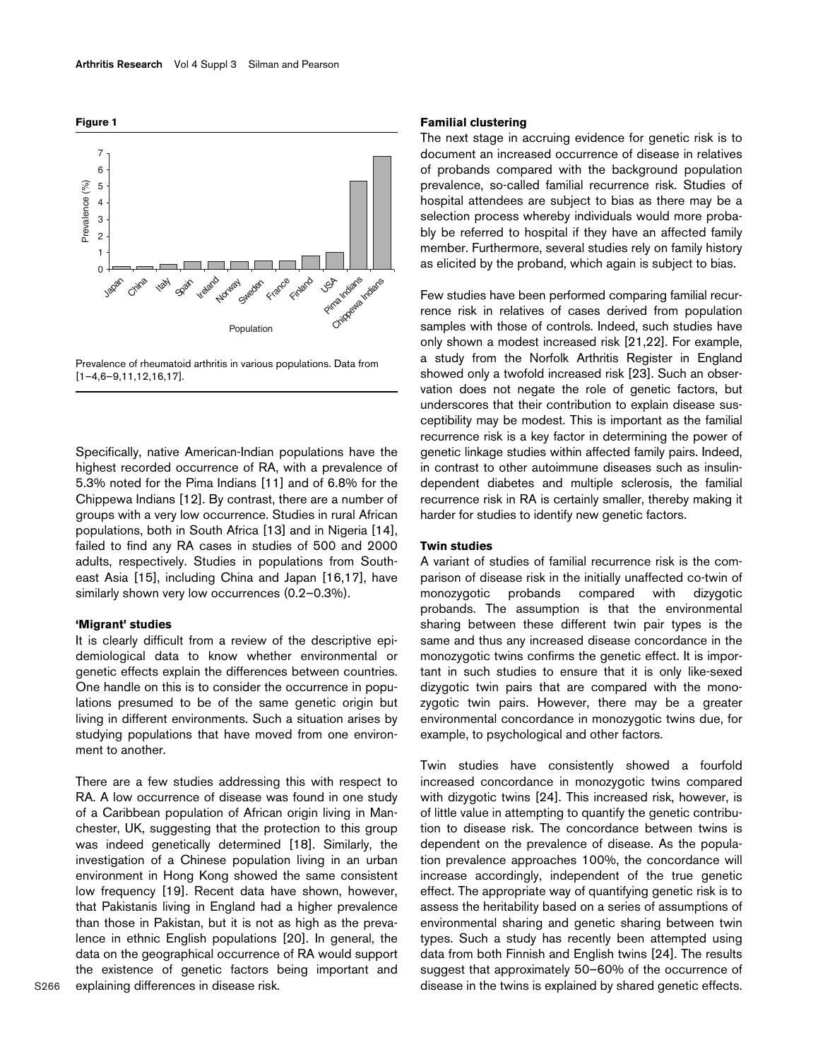

Prevalence of rheumatoid arthritis in various populations. Data from [1–4,6–9,11,12,16,17].

Specifically, native American-Indian populations have the highest recorded occurrence of RA, with a prevalence of 5.3% noted for the Pima Indians [11] and of 6.8% for the Chippewa Indians [12]. By contrast, there are a number of groups with a very low occurrence. Studies in rural African populations, both in South Africa [13] and in Nigeria [14], failed to find any RA cases in studies of 500 and 2000 adults, respectively. Studies in populations from Southeast Asia [15], including China and Japan [16,17], have similarly shown very low occurrences (0.2–0.3%).

## **'Migrant' studies**

It is clearly difficult from a review of the descriptive epidemiological data to know whether environmental or genetic effects explain the differences between countries. One handle on this is to consider the occurrence in populations presumed to be of the same genetic origin but living in different environments. Such a situation arises by studying populations that have moved from one environment to another.

There are a few studies addressing this with respect to RA. A low occurrence of disease was found in one study of a Caribbean population of African origin living in Manchester, UK, suggesting that the protection to this group was indeed genetically determined [18]. Similarly, the investigation of a Chinese population living in an urban environment in Hong Kong showed the same consistent low frequency [19]. Recent data have shown, however, that Pakistanis living in England had a higher prevalence than those in Pakistan, but it is not as high as the prevalence in ethnic English populations [20]. In general, the data on the geographical occurrence of RA would support the existence of genetic factors being important and explaining differences in disease risk.

#### **Familial clustering**

The next stage in accruing evidence for genetic risk is to document an increased occurrence of disease in relatives of probands compared with the background population prevalence, so-called familial recurrence risk. Studies of hospital attendees are subject to bias as there may be a selection process whereby individuals would more probably be referred to hospital if they have an affected family member. Furthermore, several studies rely on family history as elicited by the proband, which again is subject to bias.

Few studies have been performed comparing familial recurrence risk in relatives of cases derived from population samples with those of controls. Indeed, such studies have only shown a modest increased risk [21,22]. For example, a study from the Norfolk Arthritis Register in England showed only a twofold increased risk [23]. Such an observation does not negate the role of genetic factors, but underscores that their contribution to explain disease susceptibility may be modest. This is important as the familial recurrence risk is a key factor in determining the power of genetic linkage studies within affected family pairs. Indeed, in contrast to other autoimmune diseases such as insulindependent diabetes and multiple sclerosis, the familial recurrence risk in RA is certainly smaller, thereby making it harder for studies to identify new genetic factors.

#### **Twin studies**

A variant of studies of familial recurrence risk is the comparison of disease risk in the initially unaffected co-twin of monozygotic probands compared with dizygotic probands. The assumption is that the environmental sharing between these different twin pair types is the same and thus any increased disease concordance in the monozygotic twins confirms the genetic effect. It is important in such studies to ensure that it is only like-sexed dizygotic twin pairs that are compared with the monozygotic twin pairs. However, there may be a greater environmental concordance in monozygotic twins due, for example, to psychological and other factors.

Twin studies have consistently showed a fourfold increased concordance in monozygotic twins compared with dizygotic twins [24]. This increased risk, however, is of little value in attempting to quantify the genetic contribution to disease risk. The concordance between twins is dependent on the prevalence of disease. As the population prevalence approaches 100%, the concordance will increase accordingly, independent of the true genetic effect. The appropriate way of quantifying genetic risk is to assess the heritability based on a series of assumptions of environmental sharing and genetic sharing between twin types. Such a study has recently been attempted using data from both Finnish and English twins [24]. The results suggest that approximately 50–60% of the occurrence of disease in the twins is explained by shared genetic effects.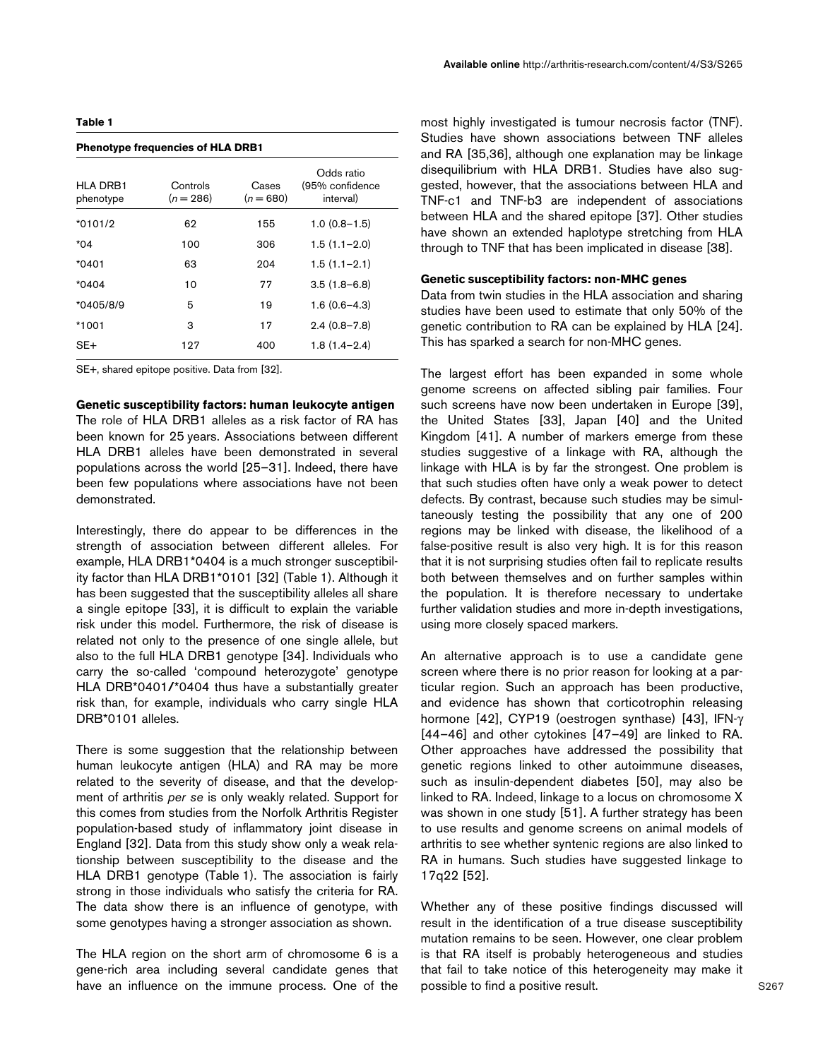## **Table 1**

## **Phenotype frequencies of HLA DRB1**

| <b>HLA DRB1</b><br>phenotype | Controls<br>$(n = 286)$ | Cases<br>$(n = 680)$ | Odds ratio<br>(95% confidence<br>interval) |
|------------------------------|-------------------------|----------------------|--------------------------------------------|
| $*0101/2$                    | 62                      | 155                  | $1.0(0.8-1.5)$                             |
| $*04$                        | 100                     | 306                  | $1.5(1.1-2.0)$                             |
| $*0401$                      | 63                      | 204                  | $1.5(1.1-2.1)$                             |
| $*0404$                      | 10                      | 77                   | $3.5(1.8-6.8)$                             |
| *0405/8/9                    | 5                       | 19                   | $1.6(0.6-4.3)$                             |
| $*1001$                      | 3                       | 17                   | $2.4(0.8-7.8)$                             |
| $SF+$                        | 197                     | 400                  | $1.8(1.4-2.4)$                             |

SE+, shared epitope positive. Data from [32].

## **Genetic susceptibility factors: human leukocyte antigen**

The role of HLA DRB1 alleles as a risk factor of RA has been known for 25 years. Associations between different HLA DRB1 alleles have been demonstrated in several populations across the world [25–31]. Indeed, there have been few populations where associations have not been demonstrated.

Interestingly, there do appear to be differences in the strength of association between different alleles. For example, HLA DRB1\*0404 is a much stronger susceptibility factor than HLA DRB1\*0101 [32] (Table 1). Although it has been suggested that the susceptibility alleles all share a single epitope [33], it is difficult to explain the variable risk under this model. Furthermore, the risk of disease is related not only to the presence of one single allele, but also to the full HLA DRB1 genotype [34]. Individuals who carry the so-called 'compound heterozygote' genotype HLA DRB\*0401**/**\*0404 thus have a substantially greater risk than, for example, individuals who carry single HLA DRB\*0101 alleles.

There is some suggestion that the relationship between human leukocyte antigen (HLA) and RA may be more related to the severity of disease, and that the development of arthritis *per se* is only weakly related. Support for this comes from studies from the Norfolk Arthritis Register population-based study of inflammatory joint disease in England [32]. Data from this study show only a weak relationship between susceptibility to the disease and the HLA DRB1 genotype (Table 1). The association is fairly strong in those individuals who satisfy the criteria for RA. The data show there is an influence of genotype, with some genotypes having a stronger association as shown.

The HLA region on the short arm of chromosome 6 is a gene-rich area including several candidate genes that have an influence on the immune process. One of the

most highly investigated is tumour necrosis factor (TNF). Studies have shown associations between TNF alleles and RA [35,36], although one explanation may be linkage disequilibrium with HLA DRB1. Studies have also suggested, however, that the associations between HLA and TNF-c1 and TNF-b3 are independent of associations between HLA and the shared epitope [37]. Other studies have shown an extended haplotype stretching from HLA through to TNF that has been implicated in disease [38].

# **Genetic susceptibility factors: non-MHC genes**

Data from twin studies in the HLA association and sharing studies have been used to estimate that only 50% of the genetic contribution to RA can be explained by HLA [24]. This has sparked a search for non-MHC genes.

The largest effort has been expanded in some whole genome screens on affected sibling pair families. Four such screens have now been undertaken in Europe [39], the United States [33], Japan [40] and the United Kingdom [41]. A number of markers emerge from these studies suggestive of a linkage with RA, although the linkage with HLA is by far the strongest. One problem is that such studies often have only a weak power to detect defects. By contrast, because such studies may be simultaneously testing the possibility that any one of 200 regions may be linked with disease, the likelihood of a false-positive result is also very high. It is for this reason that it is not surprising studies often fail to replicate results both between themselves and on further samples within the population. It is therefore necessary to undertake further validation studies and more in-depth investigations, using more closely spaced markers.

An alternative approach is to use a candidate gene screen where there is no prior reason for looking at a particular region. Such an approach has been productive, and evidence has shown that corticotrophin releasing hormone [42], CYP19 (oestrogen synthase) [43], IFN-γ [44–46] and other cytokines [47–49] are linked to RA. Other approaches have addressed the possibility that genetic regions linked to other autoimmune diseases, such as insulin-dependent diabetes [50], may also be linked to RA. Indeed, linkage to a locus on chromosome X was shown in one study [51]. A further strategy has been to use results and genome screens on animal models of arthritis to see whether syntenic regions are also linked to RA in humans. Such studies have suggested linkage to 17q22 [52].

Whether any of these positive findings discussed will result in the identification of a true disease susceptibility mutation remains to be seen. However, one clear problem is that RA itself is probably heterogeneous and studies that fail to take notice of this heterogeneity may make it possible to find a positive result.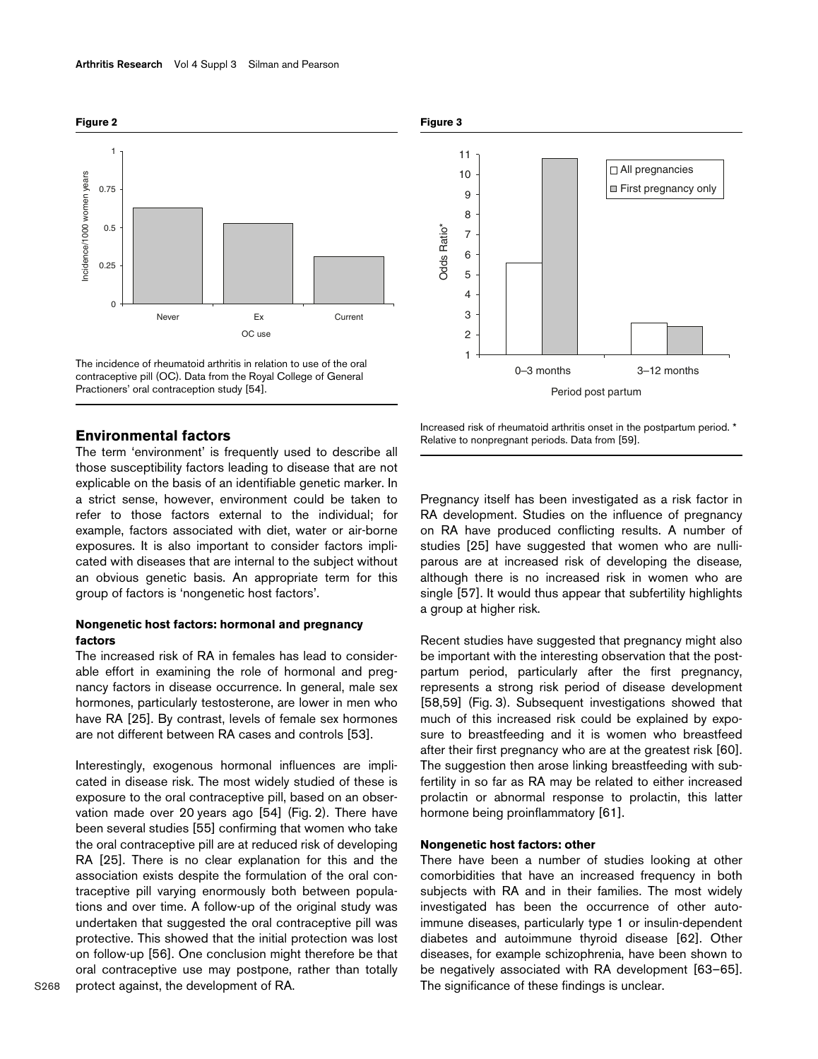

The incidence of rheumatoid arthritis in relation to use of the oral contraceptive pill (OC). Data from the Royal College of General Practioners' oral contraception study [54].

# **Environmental factors**

The term 'environment' is frequently used to describe all those susceptibility factors leading to disease that are not explicable on the basis of an identifiable genetic marker. In a strict sense, however, environment could be taken to refer to those factors external to the individual; for example, factors associated with diet, water or air-borne exposures. It is also important to consider factors implicated with diseases that are internal to the subject without an obvious genetic basis. An appropriate term for this group of factors is 'nongenetic host factors'.

# **Nongenetic host factors: hormonal and pregnancy factors**

The increased risk of RA in females has lead to considerable effort in examining the role of hormonal and pregnancy factors in disease occurrence. In general, male sex hormones, particularly testosterone, are lower in men who have RA [25]. By contrast, levels of female sex hormones are not different between RA cases and controls [53].

Interestingly, exogenous hormonal influences are implicated in disease risk. The most widely studied of these is exposure to the oral contraceptive pill, based on an observation made over 20 years ago [54] (Fig. 2). There have been several studies [55] confirming that women who take the oral contraceptive pill are at reduced risk of developing RA [25]. There is no clear explanation for this and the association exists despite the formulation of the oral contraceptive pill varying enormously both between populations and over time. A follow-up of the original study was undertaken that suggested the oral contraceptive pill was protective. This showed that the initial protection was lost on follow-up [56]. One conclusion might therefore be that oral contraceptive use may postpone, rather than totally protect against, the development of RA.



**Figure 3**

Increased risk of rheumatoid arthritis onset in the postpartum period. \* Relative to nonpregnant periods. Data from [59].

Pregnancy itself has been investigated as a risk factor in RA development. Studies on the influence of pregnancy on RA have produced conflicting results. A number of studies [25] have suggested that women who are nulliparous are at increased risk of developing the disease*,* although there is no increased risk in women who are single [57]. It would thus appear that subfertility highlights a group at higher risk.

Recent studies have suggested that pregnancy might also be important with the interesting observation that the postpartum period, particularly after the first pregnancy, represents a strong risk period of disease development [58,59] (Fig. 3). Subsequent investigations showed that much of this increased risk could be explained by exposure to breastfeeding and it is women who breastfeed after their first pregnancy who are at the greatest risk [60]. The suggestion then arose linking breastfeeding with subfertility in so far as RA may be related to either increased prolactin or abnormal response to prolactin, this latter hormone being proinflammatory [61].

# **Nongenetic host factors: other**

There have been a number of studies looking at other comorbidities that have an increased frequency in both subjects with RA and in their families. The most widely investigated has been the occurrence of other autoimmune diseases, particularly type 1 or insulin-dependent diabetes and autoimmune thyroid disease [62]. Other diseases, for example schizophrenia, have been shown to be negatively associated with RA development [63–65]. The significance of these findings is unclear.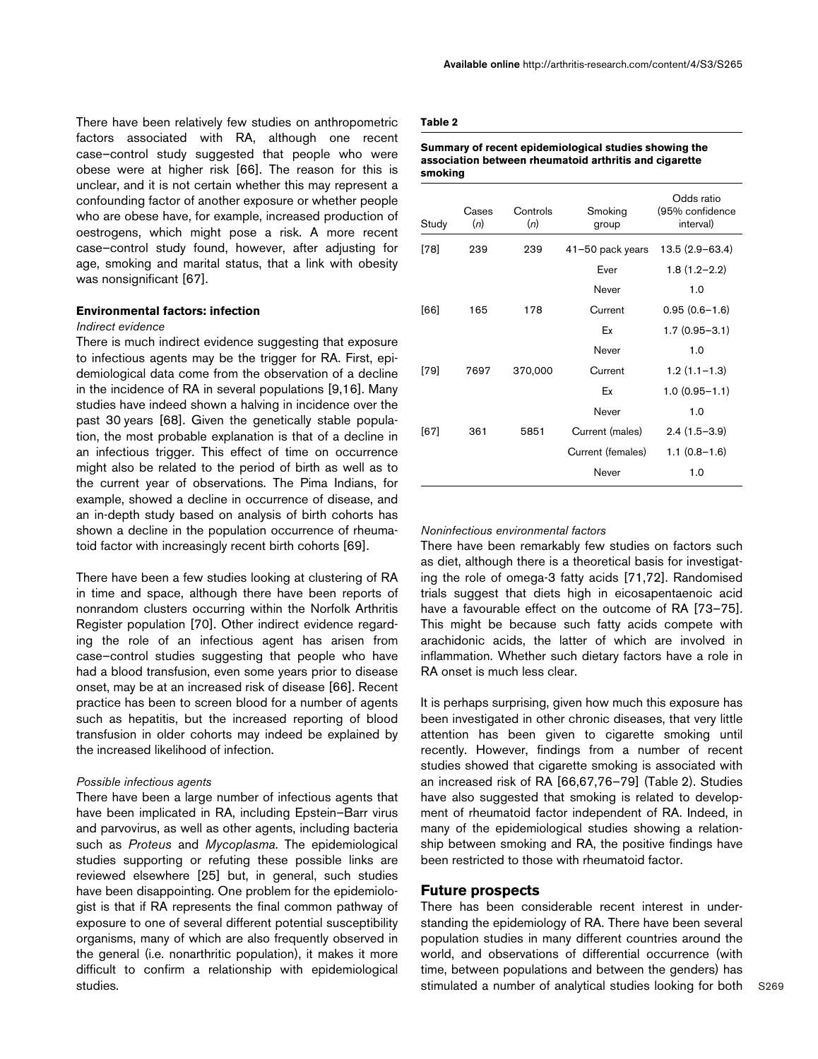There have been relatively few studies on anthropometric factors associated with RA, although one recent case–control study suggested that people who were obese were at higher risk [66]. The reason for this is unclear, and it is not certain whether this may represent a confounding factor of another exposure or whether people who are obese have, for example, increased production of oestrogens, which might pose a risk. A more recent case–control study found, however, after adjusting for age, smoking and marital status, that a link with obesity was nonsignificant [67].

## **Environmental factors: infection**

# *Indirect evidence*

There is much indirect evidence suggesting that exposure to infectious agents may be the trigger for RA. First, epidemiological data come from the observation of a decline in the incidence of RA in several populations [9,16]. Many studies have indeed shown a halving in incidence over the past 30 years [68]. Given the genetically stable population, the most probable explanation is that of a decline in an infectious trigger. This effect of time on occurrence might also be related to the period of birth as well as to the current year of observations. The Pima Indians, for example, showed a decline in occurrence of disease, and an in-depth study based on analysis of birth cohorts has shown a decline in the population occurrence of rheumatoid factor with increasingly recent birth cohorts [69].

There have been a few studies looking at clustering of RA in time and space, although there have been reports of nonrandom clusters occurring within the Norfolk Arthritis Register population [70]. Other indirect evidence regarding the role of an infectious agent has arisen from case–control studies suggesting that people who have had a blood transfusion, even some years prior to disease onset, may be at an increased risk of disease [66]. Recent practice has been to screen blood for a number of agents such as hepatitis, but the increased reporting of blood transfusion in older cohorts may indeed be explained by the increased likelihood of infection.

### *Possible infectious agents*

There have been a large number of infectious agents that have been implicated in RA, including Epstein–Barr virus and parvovirus, as well as other agents, including bacteria such as *Proteus* and *Mycoplasma*. The epidemiological studies supporting or refuting these possible links are reviewed elsewhere [25] but, in general, such studies have been disappointing. One problem for the epidemiologist is that if RA represents the final common pathway of exposure to one of several different potential susceptibility organisms, many of which are also frequently observed in the general (i.e. nonarthritic population), it makes it more difficult to confirm a relationship with epidemiological studies.

#### **Table 2**

**Summary of recent epidemiological studies showing the association between rheumatoid arthritis and cigarette smoking**

| Study | Cases<br>(n) | Controls<br>(n) | Smoking<br>group  | Odds ratio<br>(95% confidence<br>interval) |
|-------|--------------|-----------------|-------------------|--------------------------------------------|
| [78]  | 239          | 239             | 41-50 pack years  | 13.5 (2.9-63.4)                            |
|       |              |                 | Ever              | $1.8(1.2 - 2.2)$                           |
|       |              |                 | Never             | 1.0                                        |
| [66]  | 165          | 178             | Current           | $0.95(0.6 - 1.6)$                          |
|       |              |                 | Ex                | $1.7(0.95 - 3.1)$                          |
|       |              |                 | Never             | 1.0                                        |
| [79]  | 7697         | 370,000         | Current           | $1.2(1.1 - 1.3)$                           |
|       |              |                 | Ex                | $1.0(0.95 - 1.1)$                          |
|       |              |                 | Never             | 1.0                                        |
| [67]  | 361          | 5851            | Current (males)   | $2.4(1.5-3.9)$                             |
|       |              |                 | Current (females) | $1.1(0.8-1.6)$                             |
|       |              |                 | Never             | 1.0                                        |

## *Noninfectious environmental factors*

There have been remarkably few studies on factors such as diet, although there is a theoretical basis for investigating the role of omega-3 fatty acids [71,72]. Randomised trials suggest that diets high in eicosapentaenoic acid have a favourable effect on the outcome of RA [73-75]. This might be because such fatty acids compete with arachidonic acids, the latter of which are involved in inflammation. Whether such dietary factors have a role in RA onset is much less clear.

It is perhaps surprising, given how much this exposure has been investigated in other chronic diseases, that very little attention has been given to cigarette smoking until recently. However, findings from a number of recent studies showed that cigarette smoking is associated with an increased risk of RA [66,67,76–79] (Table 2). Studies have also suggested that smoking is related to development of rheumatoid factor independent of RA. Indeed, in many of the epidemiological studies showing a relationship between smoking and RA, the positive findings have been restricted to those with rheumatoid factor.

## **Future prospects**

There has been considerable recent interest in understanding the epidemiology of RA. There have been several population studies in many different countries around the world, and observations of differential occurrence (with time, between populations and between the genders) has stimulated a number of analytical studies looking for both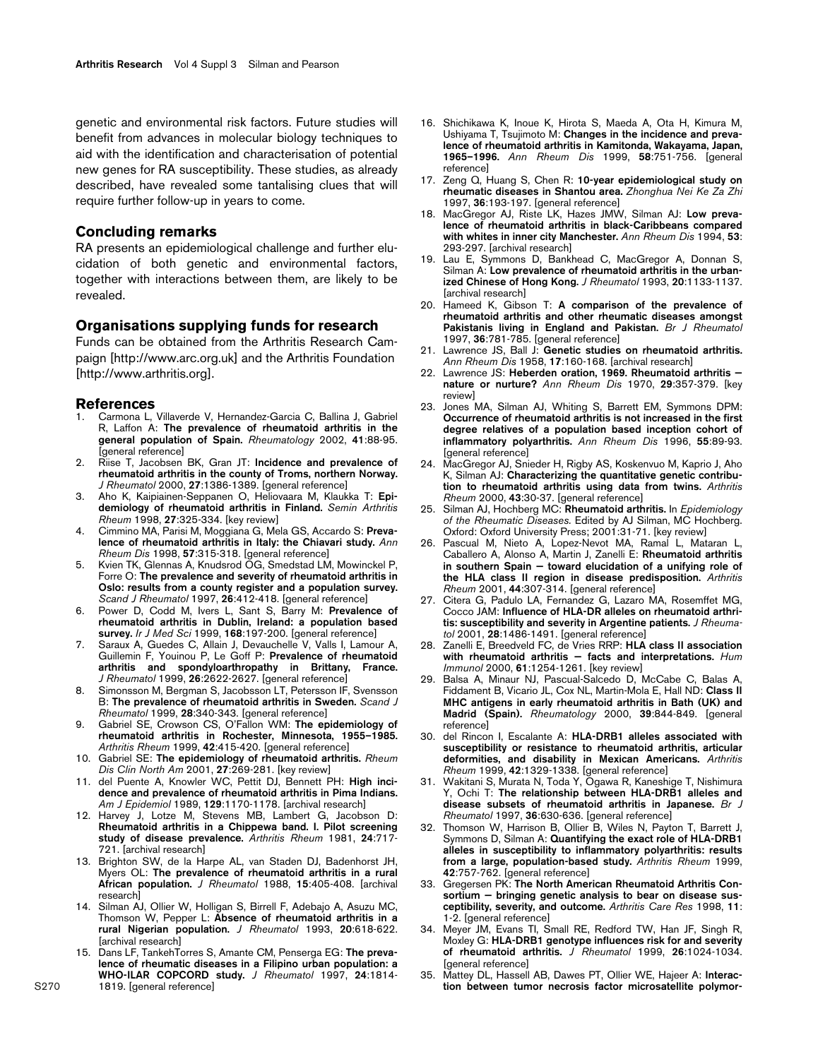genetic and environmental risk factors. Future studies will benefit from advances in molecular biology techniques to aid with the identification and characterisation of potential new genes for RA susceptibility. These studies, as already described, have revealed some tantalising clues that will require further follow-up in years to come.

# **Concluding remarks**

RA presents an epidemiological challenge and further elucidation of both genetic and environmental factors, together with interactions between them, are likely to be revealed.

# **Organisations supplying funds for research**

Funds can be obtained from the Arthritis Research Campaign [http://www.arc.org.uk] and the Arthritis Foundation [http://www.arthritis.org].

## **References**

- 1. Carmona L, Villaverde V, Hernandez-Garcia C, Ballina J, Gabriel R, Laffon A: **The prevalence of rheumatoid arthritis in the general population of Spain.** *Rheumatology* 2002, **41**:88-95. [general reference]
- 2. Riise T, Jacobsen BK, Gran JT: **Incidence and prevalence of rheumatoid arthritis in the county of Troms, northern Norway.** *J Rheumatol* 2000, **27**:1386-1389. [general reference]
- 3. Aho K, Kaipiainen-Seppanen O, Heliovaara M, Klaukka T: **Epidemiology of rheumatoid arthritis in Finland.** *Semin Arthritis Rheum* 1998, **27**:325-334. [key review]
- 4. Cimmino MA, Parisi M, Moggiana G, Mela GS, Accardo S: **Prevalence of rheumatoid arthritis in Italy: the Chiavari study.** *Ann Rheum Dis* 1998, **57**:315-318. [general reference]
- 5. Kvien TK, Glennas A, Knudsrod OG, Smedstad LM, Mowinckel P, Forre O: **The prevalence and severity of rheumatoid arthritis in Oslo: results from a county register and a population survey.** *Scand J Rheumatol* 1997, **26**:412-418. [general reference]
- 6. Power D, Codd M, Ivers L, Sant S, Barry M: **Prevalence of rheumatoid arthritis in Dublin, Ireland: a population based survey.** *Ir J Med Sci* 1999, **168**:197-200. [general reference]
- 7. Saraux A, Guedes C, Allain J, Devauchelle V, Valls I, Lamour A, Guillemin F, Youinou P, Le Goff P: **Prevalence of rheumatoid arthritis and spondyloarthropathy in Brittany, France.** *J Rheumatol* 1999, **26**:2622-2627. [general reference]
- 8. Simonsson M, Bergman S, Jacobsson LT, Petersson IF, Svensson B: **The prevalence of rheumatoid arthritis in Sweden.** *Scand J Rheumatol* 1999, **28**:340-343. [general reference]
- 9. Gabriel SE, Crowson CS, O'Fallon WM: **The epidemiology of rheumatoid arthritis in Rochester, Minnesota, 1955–1985.** *Arthritis Rheum* 1999, **42**:415-420. [general reference]
- 10. Gabriel SE: **The epidemiology of rheumatoid arthritis.** *Rheum Dis Clin North Am* 2001, **27**:269-281. [key review]
- 11. del Puente A, Knowler WC, Pettit DJ, Bennett PH: **High incidence and prevalence of rheumatoid arthritis in Pima Indians.** *Am J Epidemiol* 1989, **129**:1170-1178. [archival research]
- 12. Harvey J, Lotze M, Stevens MB, Lambert G, Jacobson D: **Rheumatoid arthritis in a Chippewa band. I. Pilot screening study of disease prevalence.** *Arthritis Rheum* 1981, **24**:717- 721. [archival research]
- 13. Brighton SW, de la Harpe AL, van Staden DJ, Badenhorst JH, Myers OL: **The prevalence of rheumatoid arthritis in a rural African population.** *J Rheumatol* 1988, **15**:405-408. [archival research]
- 14. Silman AJ, Ollier W, Holligan S, Birrell F, Adebajo A, Asuzu MC, Thomson W, Pepper L: **Absence of rheumatoid arthritis in a rural Nigerian population.** *J Rheumatol* 1993, **20**:618-622. [archival research]
- 15. Dans LF, TankehTorres S, Amante CM, Penserga EG: **The prevalence of rheumatic diseases in a Filipino urban population: a WHO-ILAR COPCORD study.** *J Rheumatol* 1997, **24**:1814- 1819. [general reference]
- 16. Shichikawa K, Inoue K, Hirota S, Maeda A, Ota H, Kimura M, Ushiyama T, Tsujimoto M: **Changes in the incidence and prevalence of rheumatoid arthritis in Kamitonda, Wakayama, Japan, 1965–1996.** *Ann Rheum Dis* 1999, **58**:751-756. [general reference]
- 17. Zeng Q, Huang S, Chen R: **10-year epidemiological study on rheumatic diseases in Shantou area.** *Zhonghua Nei Ke Za Zhi* 1997, **36**:193-197. [general reference]
- 18. MacGregor AJ, Riste LK, Hazes JMW, Silman AJ: **Low prevalence of rheumatoid arthritis in black-Caribbeans compared with whites in inner city Manchester.** *Ann Rheum Dis* 1994, **53**: 293-297. [archival research]
- 19. Lau E, Symmons D, Bankhead C, MacGregor A, Donnan S, Silman A: **Low prevalence of rheumatoid arthritis in the urbanized Chinese of Hong Kong.** *J Rheumatol* 1993, **20**:1133-1137. [archival research]
- 20. Hameed K, Gibson T: **A comparison of the prevalence of rheumatoid arthritis and other rheumatic diseases amongst Pakistanis living in England and Pakistan.** *Br J Rheumatol* 1997, **36**:781-785. [general reference]
- 21. Lawrence JS, Ball J: **Genetic studies on rheumatoid arthritis.** *Ann Rheum Dis* 1958, **17**:160-168. [archival research]
- 22. Lawrence JS: **Heberden oration, 1969. Rheumatoid arthritis nature or nurture?** *Ann Rheum Dis* 1970, **29**:357-379. [key review]
- 23. Jones MA, Silman AJ, Whiting S, Barrett EM, Symmons DPM: **Occurrence of rheumatoid arthritis is not increased in the first degree relatives of a population based inception cohort of inflammatory polyarthritis.** *Ann Rheum Dis* 1996, **55**:89-93. [general reference]
- 24. MacGregor AJ, Snieder H, Rigby AS, Koskenvuo M, Kaprio J, Aho K, Silman AJ: **Characterizing the quantitative genetic contribution to rheumatoid arthritis using data from twins.** *Arthritis Rheum* 2000, **43**:30-37. [general reference]
- 25. Silman AJ, Hochberg MC: **Rheumatoid arthritis.** In *Epidemiology of the Rheumatic Diseases.* Edited by AJ Silman, MC Hochberg. Oxford: Oxford University Press; 2001:31-71. [key review]
- 26. Pascual M, Nieto A, Lopez-Nevot MA, Ramal L, Mataran L, Caballero A, Alonso A, Martin J, Zanelli E: **Rheumatoid arthritis in southern Spain — toward elucidation of a unifying role of the HLA class II region in disease predisposition.** *Arthritis Rheum* 2001, **44**:307-314. [general reference]
- 27. Citera G, Padulo LA, Fernandez G, Lazaro MA, Rosemffet MG, Cocco JAM: **Influence of HLA-DR alleles on rheumatoid arthritis: susceptibility and severity in Argentine patients.** *J Rheumatol* 2001, **28**:1486-1491. [general reference]
- 28. Zanelli E, Breedveld FC, de Vries RRP: **HLA class II association with rheumatoid arthritis — facts and interpretations.** *Hum Immunol* 2000, **61**:1254-1261. [key review]
- 29. Balsa A, Minaur NJ, Pascual-Salcedo D, McCabe C, Balas A, Fiddament B, Vicario JL, Cox NL, Martin-Mola E, Hall ND: **Class II MHC antigens in early rheumatoid arthritis in Bath (UK) and Madrid (Spain).** *Rheumatology* 2000, **39**:844-849. [general reference]
- 30. del Rincon I, Escalante A: **HLA-DRB1 alleles associated with susceptibility or resistance to rheumatoid arthritis, articular deformities, and disability in Mexican Americans.** *Arthritis Rheum* 1999, **42**:1329-1338. [general reference]
- 31. Wakitani S, Murata N, Toda Y, Ogawa R, Kaneshige T, Nishimura Y, Ochi T: **The relationship between HLA-DRB1 alleles and disease subsets of rheumatoid arthritis in Japanese.** *Br J Rheumatol* 1997, **36**:630-636. [general reference]
- 32. Thomson W, Harrison B, Ollier B, Wiles N, Payton T, Barrett J, Symmons D, Silman A: **Quantifying the exact role of HLA-DRB1 alleles in susceptibility to inflammatory polyarthritis: results from a large, population-based study.** *Arthritis Rheum* 1999, **42**:757-762. [general reference]
- 33. Gregersen PK: **The North American Rheumatoid Arthritis Consortium — bringing genetic analysis to bear on disease susceptibility, severity, and outcome.** *Arthritis Care Res* 1998, **11**: 1-2. [general reference]
- 34. Meyer JM, Evans TI, Small RE, Redford TW, Han JF, Singh R, Moxley G: **HLA-DRB1 genotype influences risk for and severity of rheumatoid arthritis.** *J Rheumatol* 1999, **26**:1024-1034. [general reference]
- 35. Mattey DL, Hassell AB, Dawes PT, Ollier WE, Hajeer A: **Interaction between tumor necrosis factor microsatellite polymor-**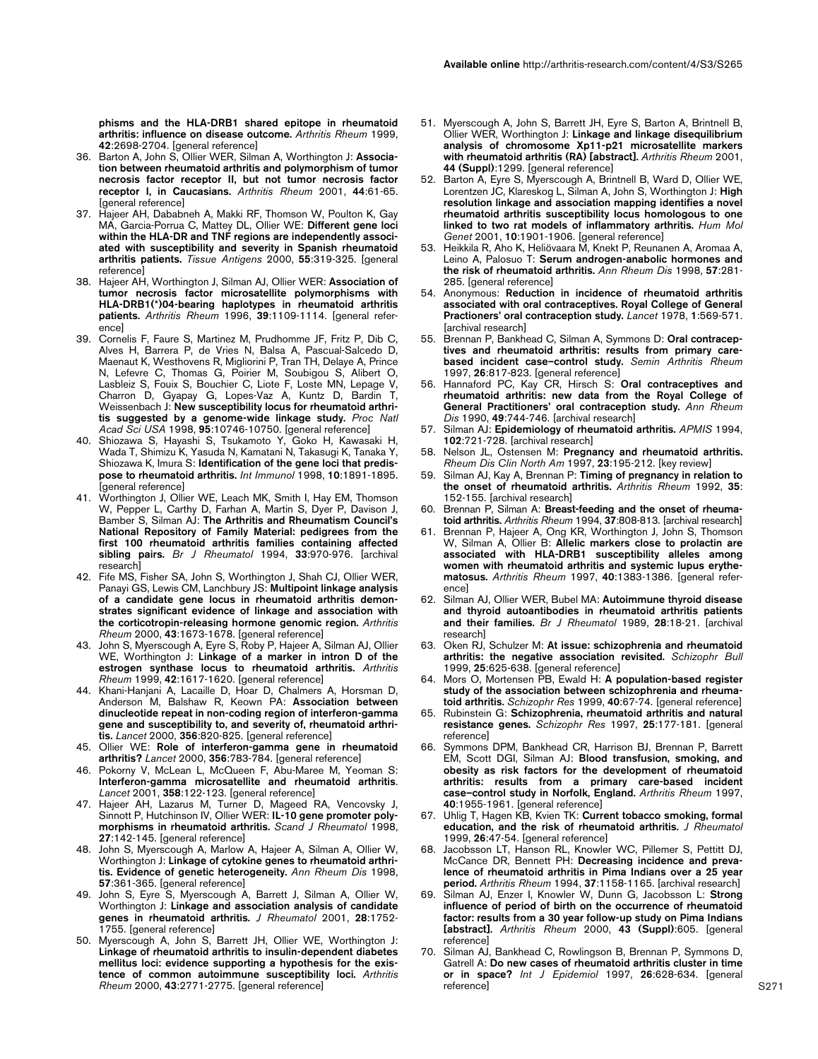**phisms and the HLA-DRB1 shared epitope in rheumatoid arthritis: influence on disease outcome.** *Arthritis Rheum* 1999, **42**:2698-2704. [general reference]

- 36. Barton A, John S, Ollier WER, Silman A, Worthington J: **Association between rheumatoid arthritis and polymorphism of tumor necrosis factor receptor II, but not tumor necrosis factor receptor I, in Caucasians.** *Arthritis Rheum* 2001, **44**:61-65. [general reference]
- 37. Hajeer AH, Dababneh A, Makki RF, Thomson W, Poulton K, Gay MA, Garcia-Porrua C, Mattey DL, Ollier WE: **Different gene loci within the HLA-DR and TNF regions are independently associated with susceptibility and severity in Spanish rheumatoid arthritis patients.** *Tissue Antigens* 2000, **55**:319-325. [general reference]
- 38. Hajeer AH, Worthington J, Silman AJ, Ollier WER: **Association of tumor necrosis factor microsatellite polymorphisms with HLA-DRB1(\*)04-bearing haplotypes in rheumatoid arthritis patients.** *Arthritis Rheum* 1996, **39**:1109-1114. [general reference]
- 39. Cornelis F, Faure S, Martinez M, Prudhomme JF, Fritz P, Dib C, Alves H, Barrera P, de Vries N, Balsa A, Pascual-Salcedo D, Maenaut K, Westhovens R, Migliorini P, Tran TH, Delaye A, Prince N, Lefevre C, Thomas G, Poirier M, Soubigou S, Alibert O, Lasbleiz S, Fouix S, Bouchier C, Liote F, Loste MN, Lepage V, Charron D, Gyapay G, Lopes-Vaz A, Kuntz D, Bardin T, Weissenbach J: **New susceptibility locus for rheumatoid arthritis suggested by a genome-wide linkage study.** *Proc Natl Acad Sci USA* 1998, **95**:10746-10750. [general reference]
- 40. Shiozawa S, Hayashi S, Tsukamoto Y, Goko H, Kawasaki H, Wada T, Shimizu K, Yasuda N, Kamatani N, Takasugi K, Tanaka Y, Shiozawa K, Imura S: **Identification of the gene loci that predispose to rheumatoid arthritis.** *Int Immunol* 1998, **10**:1891-1895. [general reference]
- 41. Worthington J, Ollier WE, Leach MK, Smith I, Hay EM, Thomson W, Pepper L, Carthy D, Farhan A, Martin S, Dyer P, Davison J, Bamber S, Silman AJ: **The Arthritis and Rheumatism Council's National Repository of Family Material: pedigrees from the first 100 rheumatoid arthritis families containing affected sibling pairs.** *Br J Rheumatol* 1994, **33**:970-976. [archival research]
- 42. Fife MS, Fisher SA, John S, Worthington J, Shah CJ, Ollier WER, Panayi GS, Lewis CM, Lanchbury JS: **Multipoint linkage analysis of a candidate gene locus in rheumatoid arthritis demonstrates significant evidence of linkage and association with the corticotropin-releasing hormone genomic region.** *Arthritis Rheum* 2000, **43**:1673-1678. [general reference]
- 43. John S, Myerscough A, Eyre S, Roby P, Hajeer A, Silman AJ, Ollier WE, Worthington J: **Linkage of a marker in intron D of the estrogen synthase locus to rheumatoid arthritis.** *Arthritis Rheum* 1999, **42**:1617-1620. [general reference]
- 44. Khani-Hanjani A, Lacaille D, Hoar D, Chalmers A, Horsman D, Anderson M, Balshaw R, Keown PA: **Association between dinucleotide repeat in non-coding region of interferon-gamma gene and susceptibility to, and severity of, rheumatoid arthritis.** *Lancet* 2000, **356**:820-825. [general reference]
- 45. Ollier WE: **Role of interferon-gamma gene in rheumatoid arthritis?** *Lancet* 2000, **356**:783-784. [general reference]
- 46. Pokorny V, McLean L, McQueen F, Abu-Maree M, Yeoman S: **Interferon-gamma microsatellite and rheumatoid arthritis**. *Lancet* 2001, **358**:122-123. [general reference]
- 47. Hajeer AH, Lazarus M, Turner D, Mageed RA, Vencovsky J, Sinnott P, Hutchinson IV, Ollier WER: **IL-10 gene promoter polymorphisms in rheumatoid arthritis.** *Scand J Rheumatol* 1998, **27**:142-145. [general reference]
- 48. John S, Myerscough A, Marlow A, Hajeer A, Silman A, Ollier W, Worthington J: **Linkage of cytokine genes to rheumatoid arthritis. Evidence of genetic heterogeneity.** *Ann Rheum Dis* 1998, **57**:361-365. [general reference]
- 49. John S, Eyre S, Myerscough A, Barrett J, Silman A, Ollier W, Worthington J: **Linkage and association analysis of candidate genes in rheumatoid arthritis.** *J Rheumatol* 2001, **28**:1752- 1755. [general reference]
- 50. Myerscough A, John S, Barrett JH, Ollier WE, Worthington J: **Linkage of rheumatoid arthritis to insulin-dependent diabetes mellitus loci: evidence supporting a hypothesis for the existence of common autoimmune susceptibility loci.** *Arthritis Rheum* 2000, **43**:2771-2775. [general reference]
- 51. Myerscough A, John S, Barrett JH, Eyre S, Barton A, Brintnell B, Ollier WER, Worthington J: **Linkage and linkage disequilibrium analysis of chromosome Xp11-p21 microsatellite markers with rheumatoid arthritis (RA) [abstract].** *Arthritis Rheum* 2001, **44 (Suppl)**:1299. [general reference]
- 52. Barton A, Eyre S, Myerscough A, Brintnell B, Ward D, Ollier WE, Lorentzen JC, Klareskog L, Silman A, John S, Worthington J: **High resolution linkage and association mapping identifies a novel rheumatoid arthritis susceptibility locus homologous to one linked to two rat models of inflammatory arthritis.** *Hum Mol Genet* 2001, **10**:1901-1906. [general reference]
- 53. Heikkila R, Aho K, Heliövaara M, Knekt P, Reunanen A, Aromaa A, Leino A, Palosuo T: **Serum androgen-anabolic hormones and the risk of rheumatoid arthritis.** *Ann Rheum Dis* 1998, **57**:281- 285. [general reference]
- 54. Anonymous: **Reduction in incidence of rheumatoid arthritis associated with oral contraceptives. Royal College of General Practioners' oral contraception study.** *Lancet* 1978, **1**:569-571. [archival research]
- Brennan P, Bankhead C, Silman A, Symmons D: Oral contracep**tives and rheumatoid arthritis: results from primary carebased incident case–control study.** *Semin Arthritis Rheum* 1997, **26**:817-823. [general reference]
- 56. Hannaford PC, Kay CR, Hirsch S: **Oral contraceptives and rheumatoid arthritis: new data from the Royal College of General Practitioners' oral contraception study.** *Ann Rheum Dis* 1990, **49**:744-746. [archival research]
- 57. Silman AJ: **Epidemiology of rheumatoid arthritis.** *APMIS* 1994, **102**:721-728. [archival research]
- 58. Nelson JL, Ostensen M: **Pregnancy and rheumatoid arthritis.** *Rheum Dis Clin North Am* 1997, **23**:195-212. [key review]
- 59. Silman AJ, Kay A, Brennan P: **Timing of pregnancy in relation to the onset of rheumatoid arthritis.** *Arthritis Rheum* 1992, **35**: 152-155. [archival research]
- 60. Brennan P, Silman A: **Breast-feeding and the onset of rheumatoid arthritis.** *Arthritis Rheum* 1994, **37**:808-813. [archival research]
- 61. Brennan P, Hajeer A, Ong KR, Worthington J, John S, Thomson W, Silman A, Ollier B: **Allelic markers close to prolactin are associated with HLA-DRB1 susceptibility alleles among women with rheumatoid arthritis and systemic lupus erythematosus.** *Arthritis Rheum* 1997, **40**:1383-1386. [general reference]
- 62. Silman AJ, Ollier WER, Bubel MA: **Autoimmune thyroid disease and thyroid autoantibodies in rheumatoid arthritis patients and their families.** *Br J Rheumatol* 1989, **28**:18-21. [archival research]
- 63. Oken RJ, Schulzer M: **At issue: schizophrenia and rheumatoid arthritis: the negative association revisited.** *Schizophr Bull* 1999, **25**:625-638. [general reference]
- 64. Mors O, Mortensen PB, Ewald H: **A population-based register study of the association between schizophrenia and rheumatoid arthritis.** *Schizophr Res* 1999, **40**:67-74. [general reference]
- 65. Rubinstein G: **Schizophrenia, rheumatoid arthritis and natural resistance genes.** *Schizophr Res* 1997, **25**:177-181. [general reference]
- 66. Symmons DPM, Bankhead CR, Harrison BJ, Brennan P, Barrett EM, Scott DGI, Silman AJ: **Blood transfusion, smoking, and obesity as risk factors for the development of rheumatoid arthritis: results from a primary care-based incident case–control study in Norfolk, England.** *Arthritis Rheum* 1997, **40**:1955-1961. [general reference]
- 67. Uhlig T, Hagen KB, Kvien TK: **Current tobacco smoking, formal education, and the risk of rheumatoid arthritis.** *J Rheumatol* 1999, **26**:47-54. [general reference]
- 68. Jacobsson LT, Hanson RL, Knowler WC, Pillemer S, Pettitt DJ, McCance DR, Bennett PH: **Decreasing incidence and prevalence of rheumatoid arthritis in Pima Indians over a 25 year period.** *Arthritis Rheum* 1994, **37**:1158-1165. [archival research]
- Silman AJ, Enzer I, Knowler W, Dunn G, Jacobsson L: Strong **influence of period of birth on the occurrence of rheumatoid factor: results from a 30 year follow-up study on Pima Indians [abstract].** *Arthritis Rheum* 2000, **43 (Suppl)**:605. [general reference]
- Silman AJ, Bankhead C, Rowlingson B, Brennan P, Symmons D, Gatrell A: **Do new cases of rheumatoid arthritis cluster in time or in space?** *Int J Epidemiol* 1997, **26**:628-634. [general reference]